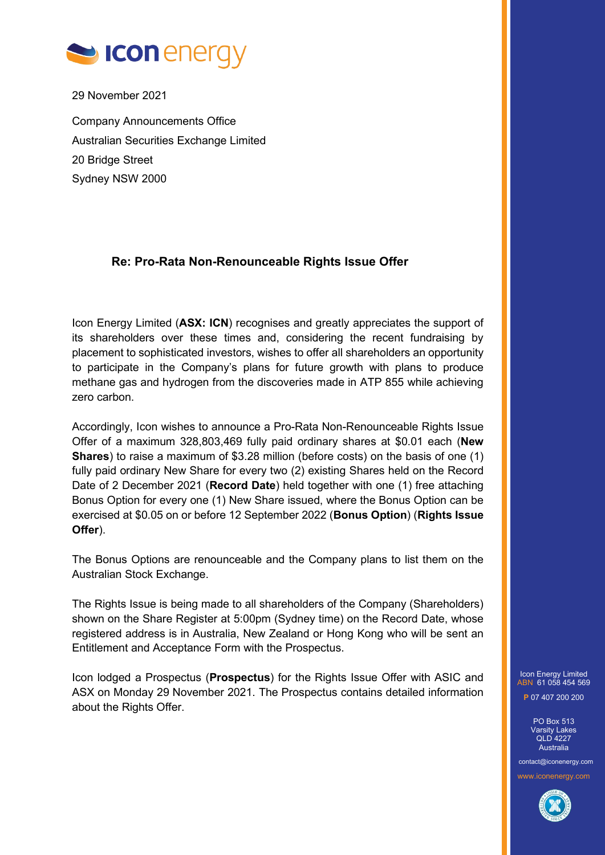

29 November 2021

Company Announcements Office Australian Securities Exchange Limited 20 Bridge Street Sydney NSW 2000

## **Re: Pro-Rata Non-Renounceable Rights Issue Offer**

Icon Energy Limited (**ASX: ICN**) recognises and greatly appreciates the support of its shareholders over these times and, considering the recent fundraising by placement to sophisticated investors, wishes to offer all shareholders an opportunity to participate in the Company's plans for future growth with plans to produce methane gas and hydrogen from the discoveries made in ATP 855 while achieving zero carbon.

Accordingly, Icon wishes to announce a Pro-Rata Non-Renounceable Rights Issue Offer of a maximum 328,803,469 fully paid ordinary shares at \$0.01 each (**New Shares**) to raise a maximum of \$3.28 million (before costs) on the basis of one (1) fully paid ordinary New Share for every two (2) existing Shares held on the Record Date of 2 December 2021 (**Record Date**) held together with one (1) free attaching Bonus Option for every one (1) New Share issued, where the Bonus Option can be exercised at \$0.05 on or before 12 September 2022 (**Bonus Option**) (**Rights Issue Offer**).

The Bonus Options are renounceable and the Company plans to list them on the Australian Stock Exchange.

The Rights Issue is being made to all shareholders of the Company (Shareholders) shown on the Share Register at 5:00pm (Sydney time) on the Record Date, whose registered address is in Australia, New Zealand or Hong Kong who will be sent an Entitlement and Acceptance Form with the Prospectus.

Icon lodged a Prospectus (**Prospectus**) for the Rights Issue Offer with ASIC and ASX on Monday 29 November 2021. The Prospectus contains detailed information about the Rights Offer.

Icon Energy Limited ABN 61 058 454 569 **P** 07 407 200 200

> PO Box 513 Varsity Lakes QLD 4227 Australia

contact@iconenergy.com www.iconenergy.com